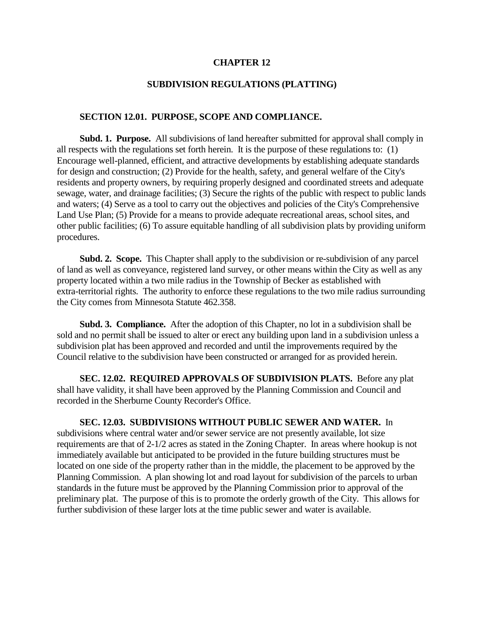#### **CHAPTER 12**

#### **SUBDIVISION REGULATIONS (PLATTING)**

# **SECTION 12.01. PURPOSE, SCOPE AND COMPLIANCE.**

**Subd. 1. Purpose.** All subdivisions of land hereafter submitted for approval shall comply in all respects with the regulations set forth herein. It is the purpose of these regulations to: (1) Encourage well-planned, efficient, and attractive developments by establishing adequate standards for design and construction; (2) Provide for the health, safety, and general welfare of the City's residents and property owners, by requiring properly designed and coordinated streets and adequate sewage, water, and drainage facilities; (3) Secure the rights of the public with respect to public lands and waters; (4) Serve as a tool to carry out the objectives and policies of the City's Comprehensive Land Use Plan; (5) Provide for a means to provide adequate recreational areas, school sites, and other public facilities; (6) To assure equitable handling of all subdivision plats by providing uniform procedures.

**Subd. 2. Scope.** This Chapter shall apply to the subdivision or re-subdivision of any parcel of land as well as conveyance, registered land survey, or other means within the City as well as any property located within a two mile radius in the Township of Becker as established with extra-territorial rights. The authority to enforce these regulations to the two mile radius surrounding the City comes from Minnesota Statute 462.358.

**Subd. 3. Compliance.** After the adoption of this Chapter, no lot in a subdivision shall be sold and no permit shall be issued to alter or erect any building upon land in a subdivision unless a subdivision plat has been approved and recorded and until the improvements required by the Council relative to the subdivision have been constructed or arranged for as provided herein.

 **SEC. 12.02. REQUIRED APPROVALS OF SUBDIVISION PLATS.** Before any plat shall have validity, it shall have been approved by the Planning Commission and Council and recorded in the Sherburne County Recorder's Office.

 **SEC. 12.03. SUBDIVISIONS WITHOUT PUBLIC SEWER AND WATER.** In subdivisions where central water and/or sewer service are not presently available, lot size requirements are that of 2-1/2 acres as stated in the Zoning Chapter. In areas where hookup is not immediately available but anticipated to be provided in the future building structures must be located on one side of the property rather than in the middle, the placement to be approved by the Planning Commission. A plan showing lot and road layout for subdivision of the parcels to urban standards in the future must be approved by the Planning Commission prior to approval of the preliminary plat. The purpose of this is to promote the orderly growth of the City. This allows for further subdivision of these larger lots at the time public sewer and water is available.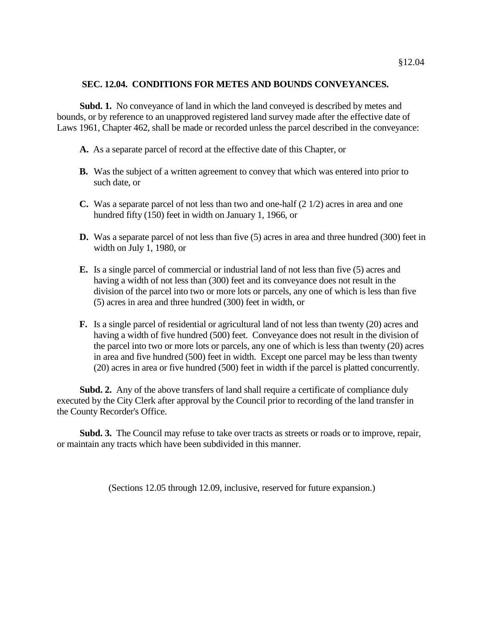### **SEC. 12.04. CONDITIONS FOR METES AND BOUNDS CONVEYANCES.**

**Subd. 1.** No conveyance of land in which the land conveyed is described by metes and bounds, or by reference to an unapproved registered land survey made after the effective date of Laws 1961, Chapter 462, shall be made or recorded unless the parcel described in the conveyance:

- **A.** As a separate parcel of record at the effective date of this Chapter, or
- **B.** Was the subject of a written agreement to convey that which was entered into prior to such date, or
- **C.** Was a separate parcel of not less than two and one-half (2 1/2) acres in area and one hundred fifty (150) feet in width on January 1, 1966, or
- **D.** Was a separate parcel of not less than five (5) acres in area and three hundred (300) feet in width on July 1, 1980, or
- **E.** Is a single parcel of commercial or industrial land of not less than five (5) acres and having a width of not less than (300) feet and its conveyance does not result in the division of the parcel into two or more lots or parcels, any one of which is less than five (5) acres in area and three hundred (300) feet in width, or
- **F.** Is a single parcel of residential or agricultural land of not less than twenty (20) acres and having a width of five hundred (500) feet. Conveyance does not result in the division of the parcel into two or more lots or parcels, any one of which is less than twenty (20) acres in area and five hundred (500) feet in width. Except one parcel may be less than twenty (20) acres in area or five hundred (500) feet in width if the parcel is platted concurrently.

**Subd. 2.** Any of the above transfers of land shall require a certificate of compliance duly executed by the City Clerk after approval by the Council prior to recording of the land transfer in the County Recorder's Office.

**Subd. 3.** The Council may refuse to take over tracts as streets or roads or to improve, repair, or maintain any tracts which have been subdivided in this manner.

(Sections 12.05 through 12.09, inclusive, reserved for future expansion.)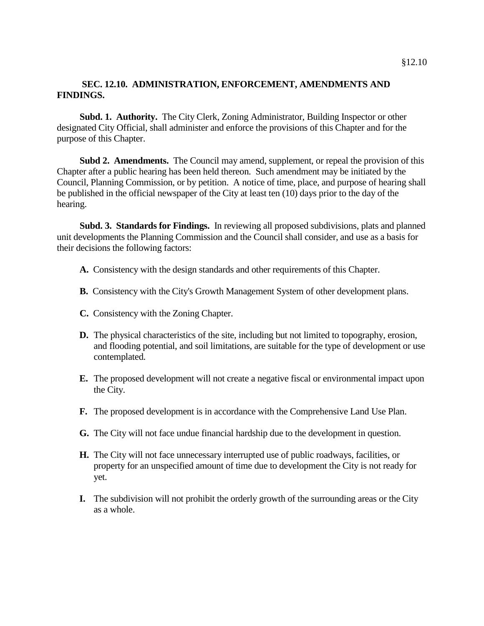# **SEC. 12.10. ADMINISTRATION, ENFORCEMENT, AMENDMENTS AND FINDINGS.**

**Subd. 1. Authority.** The City Clerk, Zoning Administrator, Building Inspector or other designated City Official, shall administer and enforce the provisions of this Chapter and for the purpose of this Chapter.

**Subd 2. Amendments.** The Council may amend, supplement, or repeal the provision of this Chapter after a public hearing has been held thereon. Such amendment may be initiated by the Council, Planning Commission, or by petition. A notice of time, place, and purpose of hearing shall be published in the official newspaper of the City at least ten (10) days prior to the day of the hearing.

**Subd. 3. Standards for Findings.** In reviewing all proposed subdivisions, plats and planned unit developments the Planning Commission and the Council shall consider, and use as a basis for their decisions the following factors:

- **A.** Consistency with the design standards and other requirements of this Chapter.
- **B.** Consistency with the City's Growth Management System of other development plans.
- **C.** Consistency with the Zoning Chapter.
- **D.** The physical characteristics of the site, including but not limited to topography, erosion, and flooding potential, and soil limitations, are suitable for the type of development or use contemplated.
- **E.** The proposed development will not create a negative fiscal or environmental impact upon the City.
- **F.** The proposed development is in accordance with the Comprehensive Land Use Plan.
- **G.** The City will not face undue financial hardship due to the development in question.
- **H.** The City will not face unnecessary interrupted use of public roadways, facilities, or property for an unspecified amount of time due to development the City is not ready for yet.
- **I.** The subdivision will not prohibit the orderly growth of the surrounding areas or the City as a whole.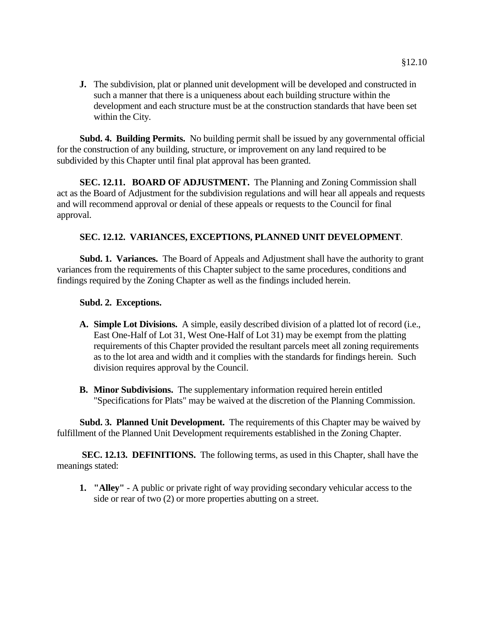**J.** The subdivision, plat or planned unit development will be developed and constructed in such a manner that there is a uniqueness about each building structure within the development and each structure must be at the construction standards that have been set within the City.

**Subd. 4. Building Permits.** No building permit shall be issued by any governmental official for the construction of any building, structure, or improvement on any land required to be subdivided by this Chapter until final plat approval has been granted.

**SEC. 12.11. BOARD OF ADJUSTMENT.** The Planning and Zoning Commission shall act as the Board of Adjustment for the subdivision regulations and will hear all appeals and requests and will recommend approval or denial of these appeals or requests to the Council for final approval.

# **SEC. 12.12. VARIANCES, EXCEPTIONS, PLANNED UNIT DEVELOPMENT**.

**Subd. 1. Variances.** The Board of Appeals and Adjustment shall have the authority to grant variances from the requirements of this Chapter subject to the same procedures, conditions and findings required by the Zoning Chapter as well as the findings included herein.

### **Subd. 2. Exceptions.**

- **A. Simple Lot Divisions.** A simple, easily described division of a platted lot of record (i.e., East One-Half of Lot 31, West One-Half of Lot 31) may be exempt from the platting requirements of this Chapter provided the resultant parcels meet all zoning requirements as to the lot area and width and it complies with the standards for findings herein. Such division requires approval by the Council.
- **B. Minor Subdivisions.** The supplementary information required herein entitled "Specifications for Plats" may be waived at the discretion of the Planning Commission.

**Subd. 3. Planned Unit Development.** The requirements of this Chapter may be waived by fulfillment of the Planned Unit Development requirements established in the Zoning Chapter.

 **SEC. 12.13. DEFINITIONS.** The following terms, as used in this Chapter, shall have the meanings stated:

**1. "Alley"** - A public or private right of way providing secondary vehicular access to the side or rear of two (2) or more properties abutting on a street.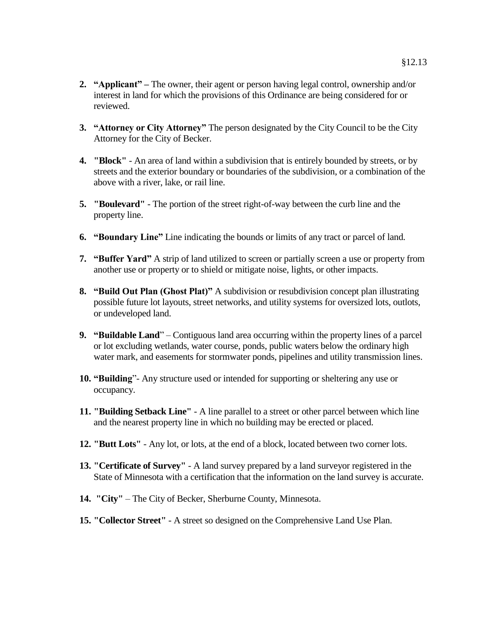- **2. "Applicant" –** The owner, their agent or person having legal control, ownership and/or interest in land for which the provisions of this Ordinance are being considered for or reviewed.
- **3. "Attorney or City Attorney"** The person designated by the City Council to be the City Attorney for the City of Becker.
- **4. "Block"** An area of land within a subdivision that is entirely bounded by streets, or by streets and the exterior boundary or boundaries of the subdivision, or a combination of the above with a river, lake, or rail line.
- **5. "Boulevard"** The portion of the street right-of-way between the curb line and the property line.
- **6. "Boundary Line"** Line indicating the bounds or limits of any tract or parcel of land.
- **7. "Buffer Yard"** A strip of land utilized to screen or partially screen a use or property from another use or property or to shield or mitigate noise, lights, or other impacts.
- **8. "Build Out Plan (Ghost Plat)"** A subdivision or resubdivision concept plan illustrating possible future lot layouts, street networks, and utility systems for oversized lots, outlots, or undeveloped land.
- **9. "Buildable Land**" Contiguous land area occurring within the property lines of a parcel or lot excluding wetlands, water course, ponds, public waters below the ordinary high water mark, and easements for stormwater ponds, pipelines and utility transmission lines.
- **10. "Building**"- Any structure used or intended for supporting or sheltering any use or occupancy.
- **11. "Building Setback Line"** A line parallel to a street or other parcel between which line and the nearest property line in which no building may be erected or placed.
- **12. "Butt Lots"** Any lot, or lots, at the end of a block, located between two corner lots.
- **13. "Certificate of Survey"** A land survey prepared by a land surveyor registered in the State of Minnesota with a certification that the information on the land survey is accurate.
- **14. "City"** The City of Becker, Sherburne County, Minnesota.
- **15. "Collector Street"** A street so designed on the Comprehensive Land Use Plan.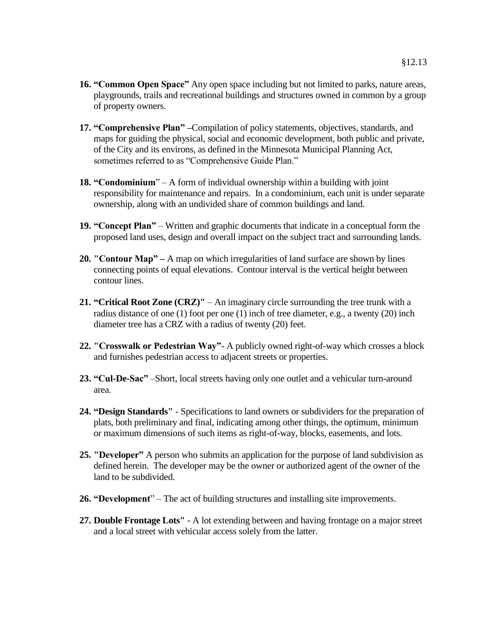- **16. "Common Open Space"** Any open space including but not limited to parks, nature areas, playgrounds, trails and recreational buildings and structures owned in common by a group of property owners.
- **17. "Comprehensive Plan" –**Compilation of policy statements, objectives, standards, and maps for guiding the physical, social and economic development, both public and private, of the City and its environs, as defined in the Minnesota Municipal Planning Act, sometimes referred to as "Comprehensive Guide Plan."
- **18. "Condominium**" A form of individual ownership within a building with joint responsibility for maintenance and repairs. In a condominium, each unit is under separate ownership, along with an undivided share of common buildings and land.
- **19. "Concept Plan"** Written and graphic documents that indicate in a conceptual form the proposed land uses, design and overall impact on the subject tract and surrounding lands.
- **20. "Contour Map" –** A map on which irregularities of land surface are shown by lines connecting points of equal elevations. Contour interval is the vertical height between contour lines.
- **21. "Critical Root Zone (CRZ)"** An imaginary circle surrounding the tree trunk with a radius distance of one (1) foot per one (1) inch of tree diameter, e.g., a twenty (20) inch diameter tree has a CRZ with a radius of twenty (20) feet.
- **22. "Crosswalk or Pedestrian Way"** A publicly owned right-of-way which crosses a block and furnishes pedestrian access to adjacent streets or properties.
- **23. "Cul-De-Sac"** –Short, local streets having only one outlet and a vehicular turn-around area.
- **24. "Design Standards"** Specifications to land owners or subdividers for the preparation of plats, both preliminary and final, indicating among other things, the optimum, minimum or maximum dimensions of such items as right-of-way, blocks, easements, and lots.
- **25. "Developer"** A person who submits an application for the purpose of land subdivision as defined herein. The developer may be the owner or authorized agent of the owner of the land to be subdivided.
- **26. "Development**" The act of building structures and installing site improvements.
- **27. Double Frontage Lots"** A lot extending between and having frontage on a major street and a local street with vehicular access solely from the latter.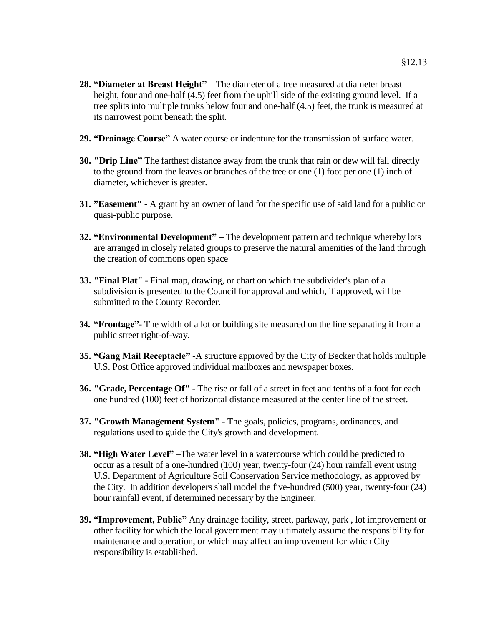- **28. "Diameter at Breast Height"** The diameter of a tree measured at diameter breast height, four and one-half (4.5) feet from the uphill side of the existing ground level. If a tree splits into multiple trunks below four and one-half (4.5) feet, the trunk is measured at its narrowest point beneath the split.
- **29. "Drainage Course"** A water course or indenture for the transmission of surface water.
- **30. "Drip Line"** The farthest distance away from the trunk that rain or dew will fall directly to the ground from the leaves or branches of the tree or one (1) foot per one (1) inch of diameter, whichever is greater.
- **31. "Easement"** A grant by an owner of land for the specific use of said land for a public or quasi-public purpose.
- **32. "Environmental Development" –** The development pattern and technique whereby lots are arranged in closely related groups to preserve the natural amenities of the land through the creation of commons open space
- **33. "Final Plat"** Final map, drawing, or chart on which the subdivider's plan of a subdivision is presented to the Council for approval and which, if approved, will be submitted to the County Recorder.
- **34. "Frontage"** The width of a lot or building site measured on the line separating it from a public street right-of-way.
- **35. "Gang Mail Receptacle" -**A structure approved by the City of Becker that holds multiple U.S. Post Office approved individual mailboxes and newspaper boxes*.*
- **36. "Grade, Percentage Of"** The rise or fall of a street in feet and tenths of a foot for each one hundred (100) feet of horizontal distance measured at the center line of the street.
- **37. "Growth Management System"** The goals, policies, programs, ordinances, and regulations used to guide the City's growth and development.
- **38. "High Water Level"** –The water level in a watercourse which could be predicted to occur as a result of a one-hundred (100) year, twenty-four (24) hour rainfall event using U.S. Department of Agriculture Soil Conservation Service methodology, as approved by the City. In addition developers shall model the five-hundred (500) year, twenty-four (24) hour rainfall event, if determined necessary by the Engineer.
- **39. "Improvement, Public"** Any drainage facility, street, parkway, park , lot improvement or other facility for which the local government may ultimately assume the responsibility for maintenance and operation, or which may affect an improvement for which City responsibility is established.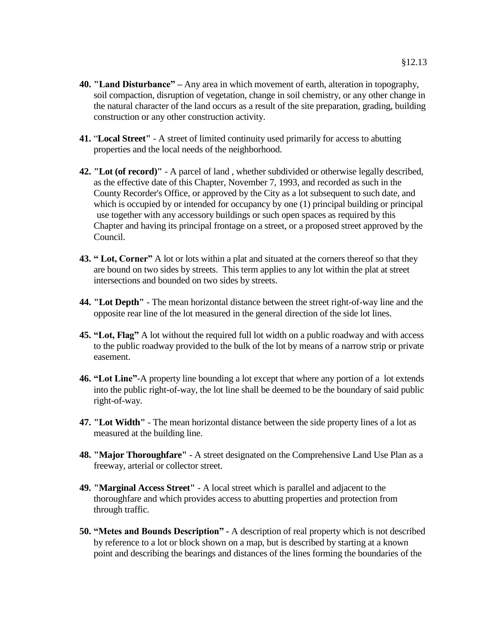- **40. "Land Disturbance" –** Any area in which movement of earth, alteration in topography, soil compaction, disruption of vegetation, change in soil chemistry, or any other change in the natural character of the land occurs as a result of the site preparation, grading, building construction or any other construction activity.
- **41.** "**Local Street"** A street of limited continuity used primarily for access to abutting properties and the local needs of the neighborhood.
- **42. "Lot (of record)"** A parcel of land , whether subdivided or otherwise legally described, as the effective date of this Chapter, November 7, 1993, and recorded as such in the County Recorder's Office, or approved by the City as a lot subsequent to such date, and which is occupied by or intended for occupancy by one (1) principal building or principal use together with any accessory buildings or such open spaces as required by this Chapter and having its principal frontage on a street, or a proposed street approved by the Council.
- **43. " Lot, Corner"** A lot or lots within a plat and situated at the corners thereof so that they are bound on two sides by streets. This term applies to any lot within the plat at street intersections and bounded on two sides by streets.
- **44. "Lot Depth"** The mean horizontal distance between the street right-of-way line and the opposite rear line of the lot measured in the general direction of the side lot lines.
- **45. "Lot, Flag"** A lot without the required full lot width on a public roadway and with access to the public roadway provided to the bulk of the lot by means of a narrow strip or private easement.
- **46. "Lot Line"**-A property line bounding a lot except that where any portion of a lot extends into the public right-of-way, the lot line shall be deemed to be the boundary of said public right-of-way.
- **47. "Lot Width"** The mean horizontal distance between the side property lines of a lot as measured at the building line.
- **48. "Major Thoroughfare"** A street designated on the Comprehensive Land Use Plan as a freeway, arterial or collector street.
- **49. "Marginal Access Street"** A local street which is parallel and adjacent to the thoroughfare and which provides access to abutting properties and protection from through traffic.
- **50. "Metes and Bounds Description" -** A description of real property which is not described by reference to a lot or block shown on a map, but is described by starting at a known point and describing the bearings and distances of the lines forming the boundaries of the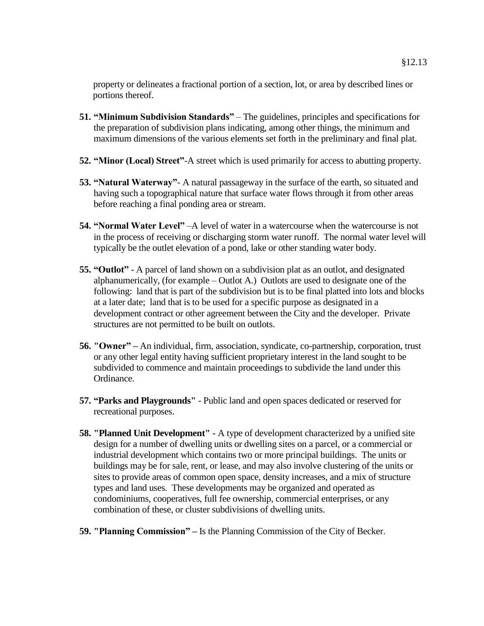property or delineates a fractional portion of a section, lot, or area by described lines or portions thereof.

- **51. "Minimum Subdivision Standards"** The guidelines, principles and specifications for the preparation of subdivision plans indicating, among other things, the minimum and maximum dimensions of the various elements set forth in the preliminary and final plat.
- **52. "Minor (Local) Street"**-A street which is used primarily for access to abutting property.
- **53. "Natural Waterway"** A natural passageway in the surface of the earth, so situated and having such a topographical nature that surface water flows through it from other areas before reaching a final ponding area or stream.
- **54. "Normal Water Level"** –A level of water in a watercourse when the watercourse is not in the process of receiving or discharging storm water runoff. The normal water level will typically be the outlet elevation of a pond, lake or other standing water body.
- **55. "Outlot"** A parcel of land shown on a subdivision plat as an outlot, and designated alphanumerically, (for example – Outlot A.) Outlots are used to designate one of the following: land that is part of the subdivision but is to be final platted into lots and blocks at a later date; land that is to be used for a specific purpose as designated in a development contract or other agreement between the City and the developer. Private structures are not permitted to be built on outlots.
- **56. "Owner" –** An individual, firm, association, syndicate, co-partnership, corporation, trust or any other legal entity having sufficient proprietary interest in the land sought to be subdivided to commence and maintain proceedings to subdivide the land under this Ordinance.
- **57. "Parks and Playgrounds"** Public land and open spaces dedicated or reserved for recreational purposes.
- **58. "Planned Unit Development"** A type of development characterized by a unified site design for a number of dwelling units or dwelling sites on a parcel, or a commercial or industrial development which contains two or more principal buildings. The units or buildings may be for sale, rent, or lease, and may also involve clustering of the units or sites to provide areas of common open space, density increases, and a mix of structure types and land uses. These developments may be organized and operated as condominiums, cooperatives, full fee ownership, commercial enterprises, or any combination of these, or cluster subdivisions of dwelling units.
- **59. "Planning Commission" –** Is the Planning Commission of the City of Becker.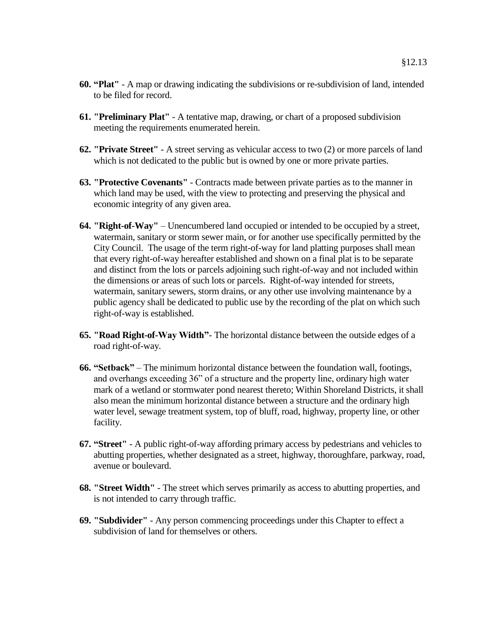- **60. "Plat"** A map or drawing indicating the subdivisions or re-subdivision of land, intended to be filed for record.
- **61. "Preliminary Plat"** A tentative map, drawing, or chart of a proposed subdivision meeting the requirements enumerated herein.
- **62. "Private Street"**  A street serving as vehicular access to two (2) or more parcels of land which is not dedicated to the public but is owned by one or more private parties.
- **63. "Protective Covenants"** Contracts made between private parties as to the manner in which land may be used, with the view to protecting and preserving the physical and economic integrity of any given area.
- **64. "Right-of-Way"** Unencumbered land occupied or intended to be occupied by a street, watermain, sanitary or storm sewer main, or for another use specifically permitted by the City Council. The usage of the term right-of-way for land platting purposes shall mean that every right-of-way hereafter established and shown on a final plat is to be separate and distinct from the lots or parcels adjoining such right-of-way and not included within the dimensions or areas of such lots or parcels. Right-of-way intended for streets, watermain, sanitary sewers, storm drains, or any other use involving maintenance by a public agency shall be dedicated to public use by the recording of the plat on which such right-of-way is established.
- **65. "Road Right-of-Way Width"** The horizontal distance between the outside edges of a road right-of-way.
- **66. "Setback"** The minimum horizontal distance between the foundation wall, footings, and overhangs exceeding 36" of a structure and the property line, ordinary high water mark of a wetland or stormwater pond nearest thereto; Within Shoreland Districts, it shall also mean the minimum horizontal distance between a structure and the ordinary high water level, sewage treatment system, top of bluff, road, highway, property line, or other facility.
- **67. "Street"** A public right-of-way affording primary access by pedestrians and vehicles to abutting properties, whether designated as a street, highway, thoroughfare, parkway, road, avenue or boulevard.
- **68. "Street Width"** The street which serves primarily as access to abutting properties, and is not intended to carry through traffic.
- **69. "Subdivider"** Any person commencing proceedings under this Chapter to effect a subdivision of land for themselves or others.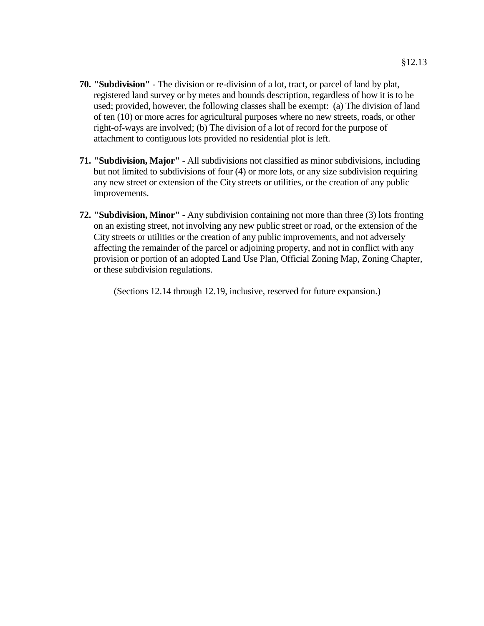- **70. "Subdivision"** The division or re-division of a lot, tract, or parcel of land by plat, registered land survey or by metes and bounds description, regardless of how it is to be used; provided, however, the following classes shall be exempt: (a) The division of land of ten (10) or more acres for agricultural purposes where no new streets, roads, or other right-of-ways are involved; (b) The division of a lot of record for the purpose of attachment to contiguous lots provided no residential plot is left.
- **71. "Subdivision, Major"** All subdivisions not classified as minor subdivisions, including but not limited to subdivisions of four (4) or more lots, or any size subdivision requiring any new street or extension of the City streets or utilities, or the creation of any public improvements.
- **72. "Subdivision, Minor"** Any subdivision containing not more than three (3) lots fronting on an existing street, not involving any new public street or road, or the extension of the City streets or utilities or the creation of any public improvements, and not adversely affecting the remainder of the parcel or adjoining property, and not in conflict with any provision or portion of an adopted Land Use Plan, Official Zoning Map, Zoning Chapter, or these subdivision regulations.

(Sections 12.14 through 12.19, inclusive, reserved for future expansion.)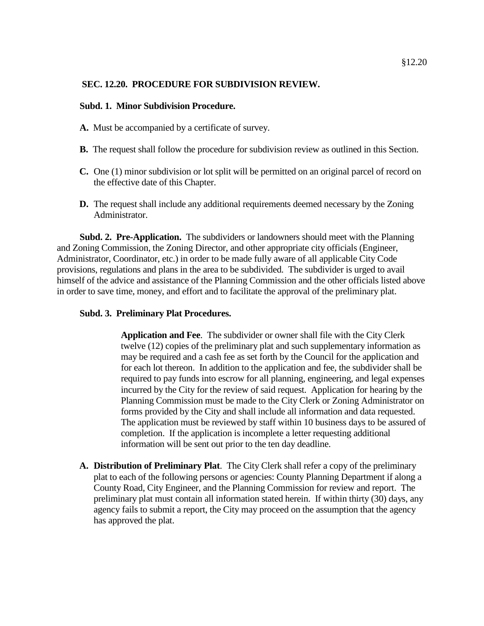### **SEC. 12.20. PROCEDURE FOR SUBDIVISION REVIEW.**

#### **Subd. 1. Minor Subdivision Procedure.**

- **A.** Must be accompanied by a certificate of survey.
- **B.** The request shall follow the procedure for subdivision review as outlined in this Section.
- **C.** One (1) minor subdivision or lot split will be permitted on an original parcel of record on the effective date of this Chapter.
- **D.** The request shall include any additional requirements deemed necessary by the Zoning Administrator.

**Subd. 2. Pre-Application.** The subdividers or landowners should meet with the Planning and Zoning Commission, the Zoning Director, and other appropriate city officials (Engineer, Administrator, Coordinator, etc.) in order to be made fully aware of all applicable City Code provisions, regulations and plans in the area to be subdivided. The subdivider is urged to avail himself of the advice and assistance of the Planning Commission and the other officials listed above in order to save time, money, and effort and to facilitate the approval of the preliminary plat.

#### **Subd. 3. Preliminary Plat Procedures.**

**Application and Fee**. The subdivider or owner shall file with the City Clerk twelve (12) copies of the preliminary plat and such supplementary information as may be required and a cash fee as set forth by the Council for the application and for each lot thereon. In addition to the application and fee, the subdivider shall be required to pay funds into escrow for all planning, engineering, and legal expenses incurred by the City for the review of said request. Application for hearing by the Planning Commission must be made to the City Clerk or Zoning Administrator on forms provided by the City and shall include all information and data requested. The application must be reviewed by staff within 10 business days to be assured of completion. If the application is incomplete a letter requesting additional information will be sent out prior to the ten day deadline.

**A. Distribution of Preliminary Plat**. The City Clerk shall refer a copy of the preliminary plat to each of the following persons or agencies: County Planning Department if along a County Road, City Engineer, and the Planning Commission for review and report. The preliminary plat must contain all information stated herein. If within thirty (30) days, any agency fails to submit a report, the City may proceed on the assumption that the agency has approved the plat.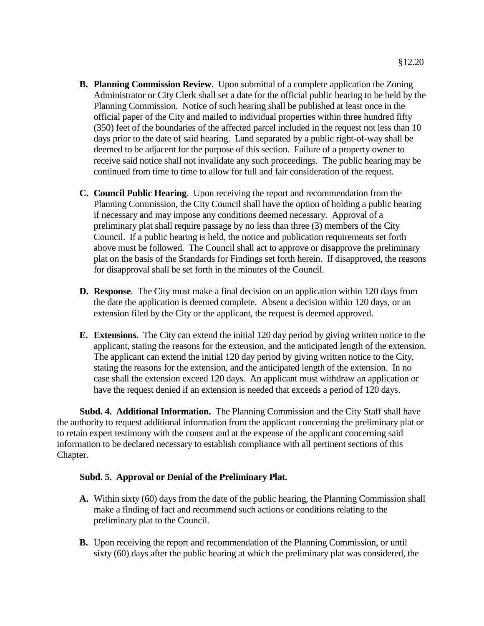- **B. Planning Commission Review**. Upon submittal of a complete application the Zoning Administrator or City Clerk shall set a date for the official public hearing to be held by the Planning Commission. Notice of such hearing shall be published at least once in the official paper of the City and mailed to individual properties within three hundred fifty (350) feet of the boundaries of the affected parcel included in the request not less than 10 days prior to the date of said hearing. Land separated by a public right-of-way shall be deemed to be adjacent for the purpose of this section. Failure of a property owner to receive said notice shall not invalidate any such proceedings. The public hearing may be continued from time to time to allow for full and fair consideration of the request.
- **C. Council Public Hearing**. Upon receiving the report and recommendation from the Planning Commission, the City Council shall have the option of holding a public hearing if necessary and may impose any conditions deemed necessary. Approval of a preliminary plat shall require passage by no less than three (3) members of the City Council. If a public hearing is held, the notice and publication requirements set forth above must be followed. The Council shall act to approve or disapprove the preliminary plat on the basis of the Standards for Findings set forth herein. If disapproved, the reasons for disapproval shall be set forth in the minutes of the Council.
- **D. Response**. The City must make a final decision on an application within 120 days from the date the application is deemed complete. Absent a decision within 120 days, or an extension filed by the City or the applicant, the request is deemed approved.
- **E. Extensions.** The City can extend the initial 120 day period by giving written notice to the applicant, stating the reasons for the extension, and the anticipated length of the extension. The applicant can extend the initial 120 day period by giving written notice to the City, stating the reasons for the extension, and the anticipated length of the extension. In no case shall the extension exceed 120 days. An applicant must withdraw an application or have the request denied if an extension is needed that exceeds a period of 120 days.

**Subd. 4. Additional Information.** The Planning Commission and the City Staff shall have the authority to request additional information from the applicant concerning the preliminary plat or to retain expert testimony with the consent and at the expense of the applicant concerning said information to be declared necessary to establish compliance with all pertinent sections of this Chapter.

# **Subd. 5. Approval or Denial of the Preliminary Plat.**

- **A.** Within sixty (60) days from the date of the public hearing, the Planning Commission shall make a finding of fact and recommend such actions or conditions relating to the preliminary plat to the Council.
- **B.** Upon receiving the report and recommendation of the Planning Commission, or until sixty (60) days after the public hearing at which the preliminary plat was considered, the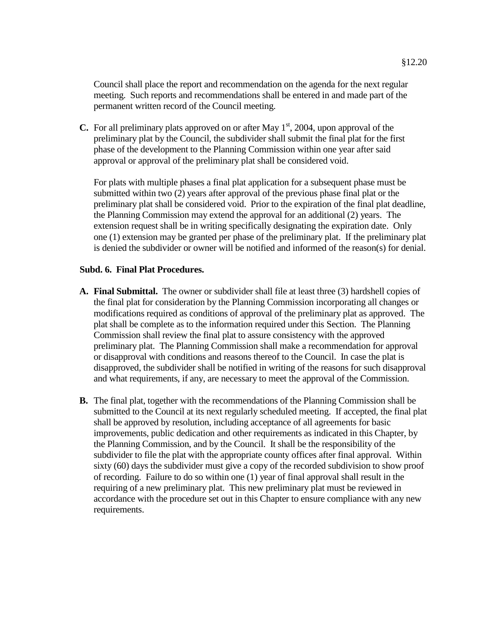Council shall place the report and recommendation on the agenda for the next regular meeting. Such reports and recommendations shall be entered in and made part of the permanent written record of the Council meeting.

**C.** For all preliminary plats approved on or after May  $1<sup>st</sup>$ , 2004, upon approval of the preliminary plat by the Council, the subdivider shall submit the final plat for the first phase of the development to the Planning Commission within one year after said approval or approval of the preliminary plat shall be considered void.

For plats with multiple phases a final plat application for a subsequent phase must be submitted within two (2) years after approval of the previous phase final plat or the preliminary plat shall be considered void. Prior to the expiration of the final plat deadline, the Planning Commission may extend the approval for an additional (2) years. The extension request shall be in writing specifically designating the expiration date. Only one (1) extension may be granted per phase of the preliminary plat. If the preliminary plat is denied the subdivider or owner will be notified and informed of the reason(s) for denial.

### **Subd. 6. Final Plat Procedures.**

- **A. Final Submittal.** The owner or subdivider shall file at least three (3) hardshell copies of the final plat for consideration by the Planning Commission incorporating all changes or modifications required as conditions of approval of the preliminary plat as approved. The plat shall be complete as to the information required under this Section. The Planning Commission shall review the final plat to assure consistency with the approved preliminary plat. The Planning Commission shall make a recommendation for approval or disapproval with conditions and reasons thereof to the Council. In case the plat is disapproved, the subdivider shall be notified in writing of the reasons for such disapproval and what requirements, if any, are necessary to meet the approval of the Commission.
- **B.** The final plat, together with the recommendations of the Planning Commission shall be submitted to the Council at its next regularly scheduled meeting. If accepted, the final plat shall be approved by resolution, including acceptance of all agreements for basic improvements, public dedication and other requirements as indicated in this Chapter, by the Planning Commission, and by the Council. It shall be the responsibility of the subdivider to file the plat with the appropriate county offices after final approval. Within sixty (60) days the subdivider must give a copy of the recorded subdivision to show proof of recording. Failure to do so within one (1) year of final approval shall result in the requiring of a new preliminary plat. This new preliminary plat must be reviewed in accordance with the procedure set out in this Chapter to ensure compliance with any new requirements.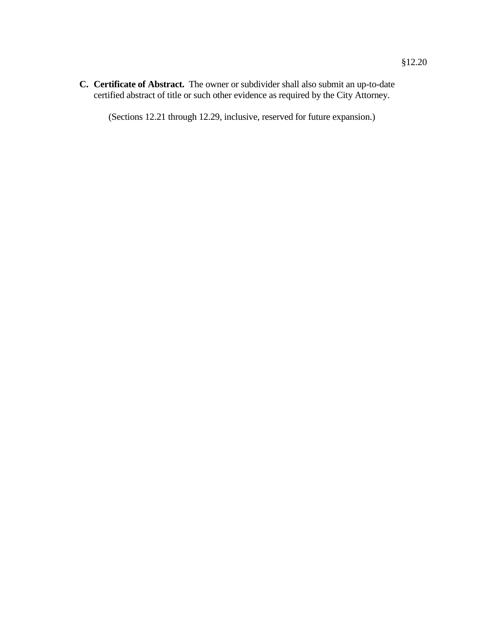**C. Certificate of Abstract.** The owner or subdivider shall also submit an up-to-date certified abstract of title or such other evidence as required by the City Attorney.

(Sections 12.21 through 12.29, inclusive, reserved for future expansion.)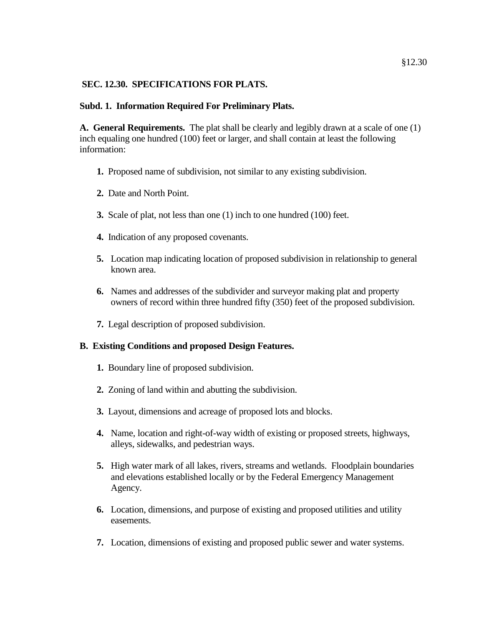# **SEC. 12.30. SPECIFICATIONS FOR PLATS.**

# **Subd. 1. Information Required For Preliminary Plats.**

**A. General Requirements.** The plat shall be clearly and legibly drawn at a scale of one (1) inch equaling one hundred (100) feet or larger, and shall contain at least the following information:

- **1.** Proposed name of subdivision, not similar to any existing subdivision.
- **2.** Date and North Point.
- **3.** Scale of plat, not less than one (1) inch to one hundred (100) feet.
- **4.** Indication of any proposed covenants.
- **5.** Location map indicating location of proposed subdivision in relationship to general known area.
- **6.** Names and addresses of the subdivider and surveyor making plat and property owners of record within three hundred fifty (350) feet of the proposed subdivision.
- **7.** Legal description of proposed subdivision.

# **B. Existing Conditions and proposed Design Features.**

- **1.** Boundary line of proposed subdivision.
- **2.** Zoning of land within and abutting the subdivision.
- **3.** Layout, dimensions and acreage of proposed lots and blocks.
- **4.** Name, location and right-of-way width of existing or proposed streets, highways, alleys, sidewalks, and pedestrian ways.
- **5.** High water mark of all lakes, rivers, streams and wetlands. Floodplain boundaries and elevations established locally or by the Federal Emergency Management Agency.
- **6.** Location, dimensions, and purpose of existing and proposed utilities and utility easements.
- **7.** Location, dimensions of existing and proposed public sewer and water systems.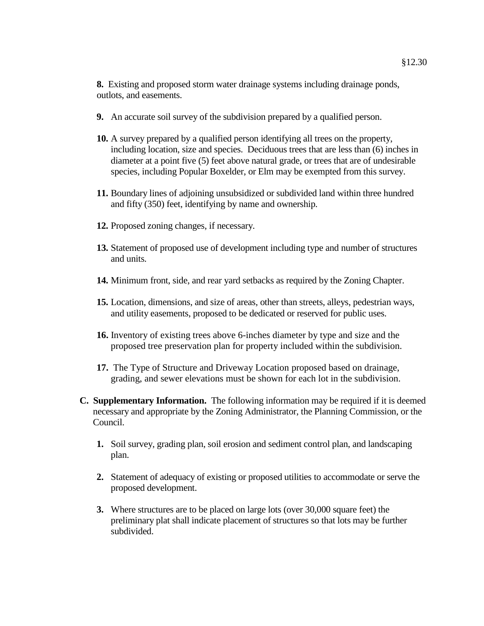**8.** Existing and proposed storm water drainage systems including drainage ponds, outlots, and easements.

- **9.** An accurate soil survey of the subdivision prepared by a qualified person.
- **10.** A survey prepared by a qualified person identifying all trees on the property, including location, size and species. Deciduous trees that are less than (6) inches in diameter at a point five (5) feet above natural grade, or trees that are of undesirable species, including Popular Boxelder, or Elm may be exempted from this survey.
- **11.** Boundary lines of adjoining unsubsidized or subdivided land within three hundred and fifty (350) feet, identifying by name and ownership.
- **12.** Proposed zoning changes, if necessary.
- **13.** Statement of proposed use of development including type and number of structures and units.
- **14.** Minimum front, side, and rear yard setbacks as required by the Zoning Chapter.
- **15.** Location, dimensions, and size of areas, other than streets, alleys, pedestrian ways, and utility easements, proposed to be dedicated or reserved for public uses.
- **16.** Inventory of existing trees above 6-inches diameter by type and size and the proposed tree preservation plan for property included within the subdivision.
- **17.** The Type of Structure and Driveway Location proposed based on drainage, grading, and sewer elevations must be shown for each lot in the subdivision.
- **C. Supplementary Information.** The following information may be required if it is deemed necessary and appropriate by the Zoning Administrator, the Planning Commission, or the Council.
	- **1.** Soil survey, grading plan, soil erosion and sediment control plan, and landscaping plan.
	- **2.** Statement of adequacy of existing or proposed utilities to accommodate or serve the proposed development.
	- **3.** Where structures are to be placed on large lots (over 30,000 square feet) the preliminary plat shall indicate placement of structures so that lots may be further subdivided.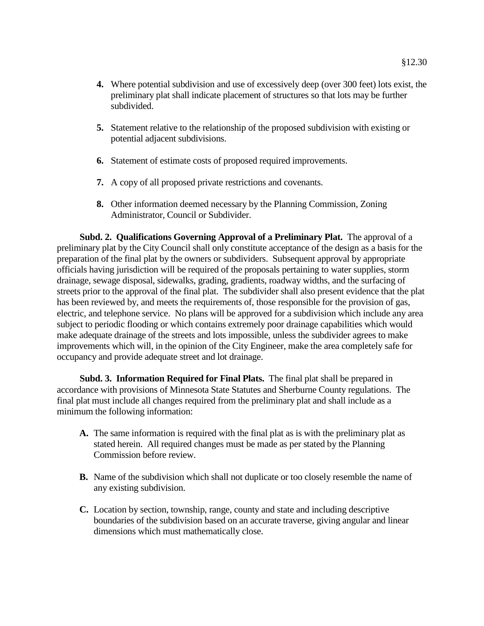- **4.** Where potential subdivision and use of excessively deep (over 300 feet) lots exist, the preliminary plat shall indicate placement of structures so that lots may be further subdivided.
- **5.** Statement relative to the relationship of the proposed subdivision with existing or potential adjacent subdivisions.
- **6.** Statement of estimate costs of proposed required improvements.
- **7.** A copy of all proposed private restrictions and covenants.
- **8.** Other information deemed necessary by the Planning Commission, Zoning Administrator, Council or Subdivider.

**Subd. 2. Qualifications Governing Approval of a Preliminary Plat.** The approval of a preliminary plat by the City Council shall only constitute acceptance of the design as a basis for the preparation of the final plat by the owners or subdividers. Subsequent approval by appropriate officials having jurisdiction will be required of the proposals pertaining to water supplies, storm drainage, sewage disposal, sidewalks, grading, gradients, roadway widths, and the surfacing of streets prior to the approval of the final plat. The subdivider shall also present evidence that the plat has been reviewed by, and meets the requirements of, those responsible for the provision of gas, electric, and telephone service. No plans will be approved for a subdivision which include any area subject to periodic flooding or which contains extremely poor drainage capabilities which would make adequate drainage of the streets and lots impossible, unless the subdivider agrees to make improvements which will, in the opinion of the City Engineer, make the area completely safe for occupancy and provide adequate street and lot drainage.

**Subd. 3. Information Required for Final Plats.** The final plat shall be prepared in accordance with provisions of Minnesota State Statutes and Sherburne County regulations. The final plat must include all changes required from the preliminary plat and shall include as a minimum the following information:

- **A.** The same information is required with the final plat as is with the preliminary plat as stated herein. All required changes must be made as per stated by the Planning Commission before review.
- **B.** Name of the subdivision which shall not duplicate or too closely resemble the name of any existing subdivision.
- **C.** Location by section, township, range, county and state and including descriptive boundaries of the subdivision based on an accurate traverse, giving angular and linear dimensions which must mathematically close.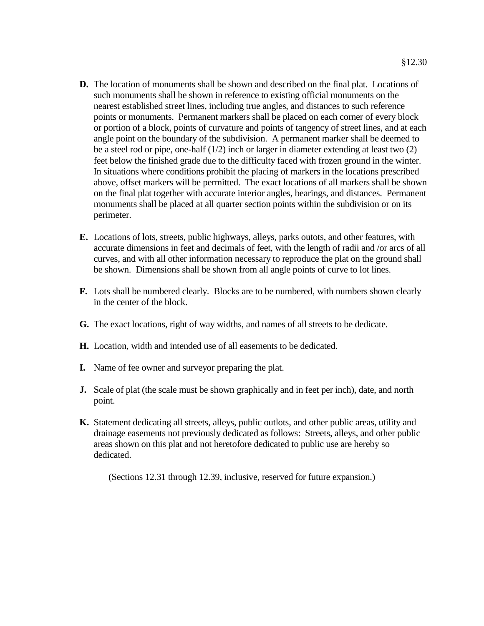- **D.** The location of monuments shall be shown and described on the final plat. Locations of such monuments shall be shown in reference to existing official monuments on the nearest established street lines, including true angles, and distances to such reference points or monuments. Permanent markers shall be placed on each corner of every block or portion of a block, points of curvature and points of tangency of street lines, and at each angle point on the boundary of the subdivision. A permanent marker shall be deemed to be a steel rod or pipe, one-half (1/2) inch or larger in diameter extending at least two (2) feet below the finished grade due to the difficulty faced with frozen ground in the winter. In situations where conditions prohibit the placing of markers in the locations prescribed above, offset markers will be permitted. The exact locations of all markers shall be shown on the final plat together with accurate interior angles, bearings, and distances. Permanent monuments shall be placed at all quarter section points within the subdivision or on its perimeter.
- **E.** Locations of lots, streets, public highways, alleys, parks outots, and other features, with accurate dimensions in feet and decimals of feet, with the length of radii and /or arcs of all curves, and with all other information necessary to reproduce the plat on the ground shall be shown. Dimensions shall be shown from all angle points of curve to lot lines.
- **F.** Lots shall be numbered clearly. Blocks are to be numbered, with numbers shown clearly in the center of the block.
- **G.** The exact locations, right of way widths, and names of all streets to be dedicate.
- **H.** Location, width and intended use of all easements to be dedicated.
- **I.** Name of fee owner and surveyor preparing the plat.
- **J.** Scale of plat (the scale must be shown graphically and in feet per inch), date, and north point.
- **K.** Statement dedicating all streets, alleys, public outlots, and other public areas, utility and drainage easements not previously dedicated as follows: Streets, alleys, and other public areas shown on this plat and not heretofore dedicated to public use are hereby so dedicated.

(Sections 12.31 through 12.39, inclusive, reserved for future expansion.)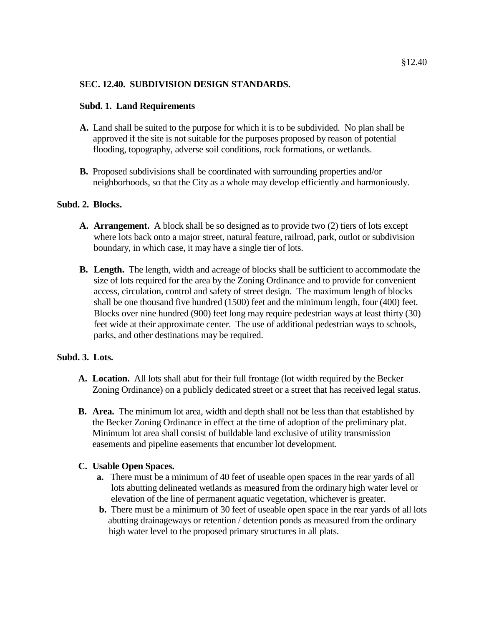# **SEC. 12.40. SUBDIVISION DESIGN STANDARDS.**

# **Subd. 1. Land Requirements**

- **A.** Land shall be suited to the purpose for which it is to be subdivided. No plan shall be approved if the site is not suitable for the purposes proposed by reason of potential flooding, topography, adverse soil conditions, rock formations, or wetlands.
- **B.** Proposed subdivisions shall be coordinated with surrounding properties and/or neighborhoods, so that the City as a whole may develop efficiently and harmoniously.

# **Subd. 2. Blocks.**

- **A. Arrangement.** A block shall be so designed as to provide two (2) tiers of lots except where lots back onto a major street, natural feature, railroad, park, outlot or subdivision boundary, in which case, it may have a single tier of lots.
- **B. Length.** The length, width and acreage of blocks shall be sufficient to accommodate the size of lots required for the area by the Zoning Ordinance and to provide for convenient access, circulation, control and safety of street design. The maximum length of blocks shall be one thousand five hundred (1500) feet and the minimum length, four (400) feet. Blocks over nine hundred (900) feet long may require pedestrian ways at least thirty (30) feet wide at their approximate center. The use of additional pedestrian ways to schools, parks, and other destinations may be required.

# **Subd. 3. Lots.**

- **A. Location.** All lots shall abut for their full frontage (lot width required by the Becker Zoning Ordinance) on a publicly dedicated street or a street that has received legal status.
- **B. Area.** The minimum lot area, width and depth shall not be less than that established by the Becker Zoning Ordinance in effect at the time of adoption of the preliminary plat. Minimum lot area shall consist of buildable land exclusive of utility transmission easements and pipeline easements that encumber lot development.

# **C. Usable Open Spaces.**

- **a.** There must be a minimum of 40 feet of useable open spaces in the rear yards of all lots abutting delineated wetlands as measured from the ordinary high water level or elevation of the line of permanent aquatic vegetation, whichever is greater.
- **b.** There must be a minimum of 30 feet of useable open space in the rear yards of all lots abutting drainageways or retention / detention ponds as measured from the ordinary high water level to the proposed primary structures in all plats.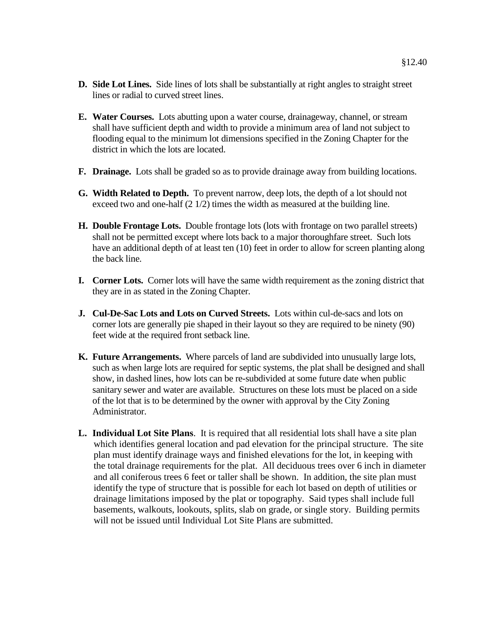- **D. Side Lot Lines.** Side lines of lots shall be substantially at right angles to straight street lines or radial to curved street lines.
- **E. Water Courses.** Lots abutting upon a water course, drainageway, channel, or stream shall have sufficient depth and width to provide a minimum area of land not subject to flooding equal to the minimum lot dimensions specified in the Zoning Chapter for the district in which the lots are located.
- **F. Drainage.** Lots shall be graded so as to provide drainage away from building locations.
- **G. Width Related to Depth.** To prevent narrow, deep lots, the depth of a lot should not exceed two and one-half (2 1/2) times the width as measured at the building line.
- **H. Double Frontage Lots.** Double frontage lots (lots with frontage on two parallel streets) shall not be permitted except where lots back to a major thoroughfare street. Such lots have an additional depth of at least ten (10) feet in order to allow for screen planting along the back line.
- **I. Corner Lots.** Corner lots will have the same width requirement as the zoning district that they are in as stated in the Zoning Chapter.
- **J. Cul-De-Sac Lots and Lots on Curved Streets.** Lots within cul-de-sacs and lots on corner lots are generally pie shaped in their layout so they are required to be ninety (90) feet wide at the required front setback line.
- **K. Future Arrangements.** Where parcels of land are subdivided into unusually large lots, such as when large lots are required for septic systems, the plat shall be designed and shall show, in dashed lines, how lots can be re-subdivided at some future date when public sanitary sewer and water are available. Structures on these lots must be placed on a side of the lot that is to be determined by the owner with approval by the City Zoning Administrator.
- **L. Individual Lot Site Plans**. It is required that all residential lots shall have a site plan which identifies general location and pad elevation for the principal structure. The site plan must identify drainage ways and finished elevations for the lot, in keeping with the total drainage requirements for the plat. All deciduous trees over 6 inch in diameter and all coniferous trees 6 feet or taller shall be shown. In addition, the site plan must identify the type of structure that is possible for each lot based on depth of utilities or drainage limitations imposed by the plat or topography. Said types shall include full basements, walkouts, lookouts, splits, slab on grade, or single story. Building permits will not be issued until Individual Lot Site Plans are submitted.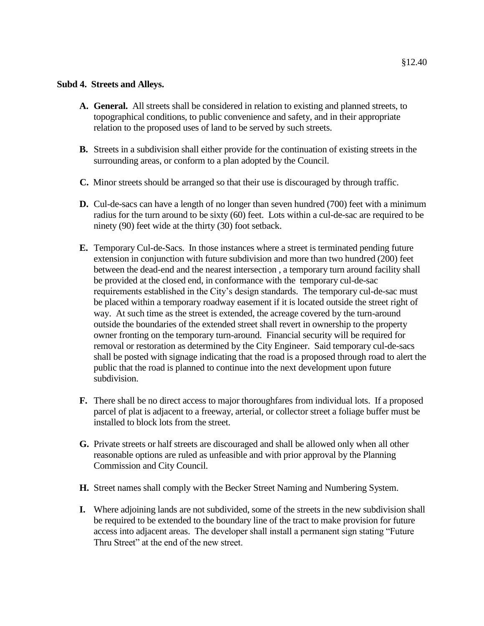#### **Subd 4. Streets and Alleys.**

- **A. General.** All streets shall be considered in relation to existing and planned streets, to topographical conditions, to public convenience and safety, and in their appropriate relation to the proposed uses of land to be served by such streets.
- **B.** Streets in a subdivision shall either provide for the continuation of existing streets in the surrounding areas, or conform to a plan adopted by the Council.
- **C.** Minor streets should be arranged so that their use is discouraged by through traffic.
- **D.** Cul-de-sacs can have a length of no longer than seven hundred (700) feet with a minimum radius for the turn around to be sixty (60) feet. Lots within a cul-de-sac are required to be ninety (90) feet wide at the thirty (30) foot setback.
- **E.** Temporary Cul-de-Sacs. In those instances where a street is terminated pending future extension in conjunction with future subdivision and more than two hundred (200) feet between the dead-end and the nearest intersection , a temporary turn around facility shall be provided at the closed end, in conformance with the temporary cul-de-sac requirements established in the City's design standards. The temporary cul-de-sac must be placed within a temporary roadway easement if it is located outside the street right of way. At such time as the street is extended, the acreage covered by the turn-around outside the boundaries of the extended street shall revert in ownership to the property owner fronting on the temporary turn-around. Financial security will be required for removal or restoration as determined by the City Engineer. Said temporary cul-de-sacs shall be posted with signage indicating that the road is a proposed through road to alert the public that the road is planned to continue into the next development upon future subdivision.
- **F.** There shall be no direct access to major thoroughfares from individual lots. If a proposed parcel of plat is adjacent to a freeway, arterial, or collector street a foliage buffer must be installed to block lots from the street.
- **G.** Private streets or half streets are discouraged and shall be allowed only when all other reasonable options are ruled as unfeasible and with prior approval by the Planning Commission and City Council.
- **H.** Street names shall comply with the Becker Street Naming and Numbering System.
- **I.** Where adjoining lands are not subdivided, some of the streets in the new subdivision shall be required to be extended to the boundary line of the tract to make provision for future access into adjacent areas. The developer shall install a permanent sign stating "Future Thru Street" at the end of the new street.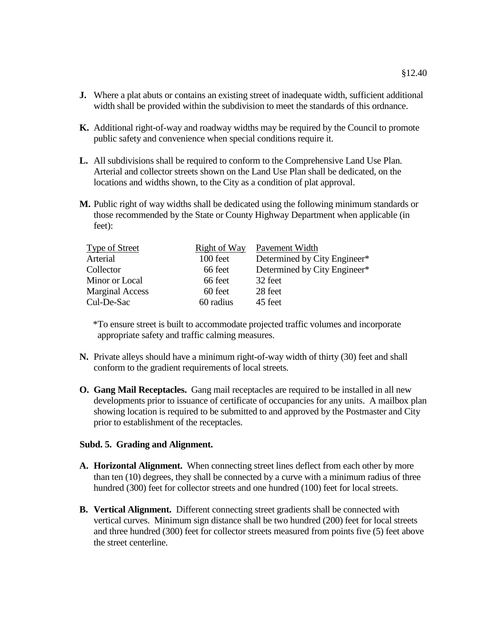- **J.** Where a plat abuts or contains an existing street of inadequate width, sufficient additional width shall be provided within the subdivision to meet the standards of this ordnance.
- **K.** Additional right-of-way and roadway widths may be required by the Council to promote public safety and convenience when special conditions require it.
- **L.** All subdivisions shall be required to conform to the Comprehensive Land Use Plan. Arterial and collector streets shown on the Land Use Plan shall be dedicated, on the locations and widths shown, to the City as a condition of plat approval.
- **M.** Public right of way widths shall be dedicated using the following minimum standards or those recommended by the State or County Highway Department when applicable (in feet):

| <b>Type of Street</b>  | <b>Right of Way</b> | Pavement Width               |
|------------------------|---------------------|------------------------------|
| Arterial               | 100 feet            | Determined by City Engineer* |
| Collector              | 66 feet             | Determined by City Engineer* |
| Minor or Local         | 66 feet             | 32 feet                      |
| <b>Marginal Access</b> | 60 feet             | 28 feet                      |
| Cul-De-Sac             | 60 radius           | 45 feet                      |

 \*To ensure street is built to accommodate projected traffic volumes and incorporate appropriate safety and traffic calming measures.

- **N.** Private alleys should have a minimum right-of-way width of thirty (30) feet and shall conform to the gradient requirements of local streets.
- **O. Gang Mail Receptacles.** Gang mail receptacles are required to be installed in all new developments prior to issuance of certificate of occupancies for any units. A mailbox plan showing location is required to be submitted to and approved by the Postmaster and City prior to establishment of the receptacles.

#### **Subd. 5. Grading and Alignment.**

- **A. Horizontal Alignment.** When connecting street lines deflect from each other by more than ten (10) degrees, they shall be connected by a curve with a minimum radius of three hundred (300) feet for collector streets and one hundred (100) feet for local streets.
- **B. Vertical Alignment.** Different connecting street gradients shall be connected with vertical curves. Minimum sign distance shall be two hundred (200) feet for local streets and three hundred (300) feet for collector streets measured from points five (5) feet above the street centerline.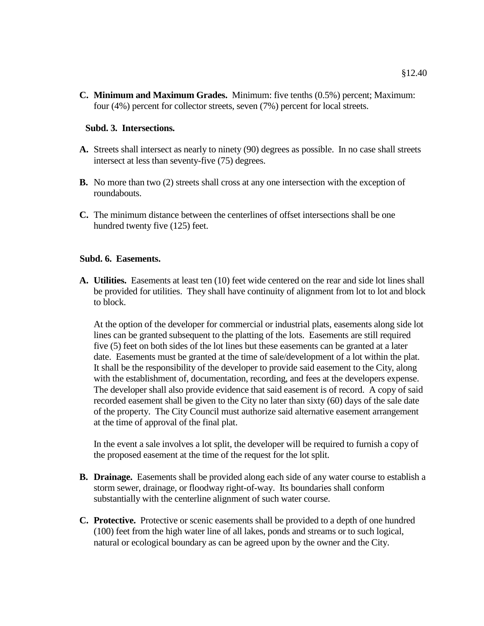**C. Minimum and Maximum Grades.** Minimum: five tenths (0.5%) percent; Maximum: four (4%) percent for collector streets, seven (7%) percent for local streets.

### **Subd. 3. Intersections.**

- **A.** Streets shall intersect as nearly to ninety (90) degrees as possible. In no case shall streets intersect at less than seventy-five (75) degrees.
- **B.** No more than two (2) streets shall cross at any one intersection with the exception of roundabouts.
- **C.** The minimum distance between the centerlines of offset intersections shall be one hundred twenty five (125) feet.

#### **Subd. 6. Easements.**

**A. Utilities.** Easements at least ten (10) feet wide centered on the rear and side lot lines shall be provided for utilities. They shall have continuity of alignment from lot to lot and block to block.

At the option of the developer for commercial or industrial plats, easements along side lot lines can be granted subsequent to the platting of the lots. Easements are still required five (5) feet on both sides of the lot lines but these easements can be granted at a later date. Easements must be granted at the time of sale/development of a lot within the plat. It shall be the responsibility of the developer to provide said easement to the City, along with the establishment of, documentation, recording, and fees at the developers expense. The developer shall also provide evidence that said easement is of record. A copy of said recorded easement shall be given to the City no later than sixty (60) days of the sale date of the property. The City Council must authorize said alternative easement arrangement at the time of approval of the final plat.

In the event a sale involves a lot split, the developer will be required to furnish a copy of the proposed easement at the time of the request for the lot split.

- **B. Drainage.** Easements shall be provided along each side of any water course to establish a storm sewer, drainage, or floodway right-of-way. Its boundaries shall conform substantially with the centerline alignment of such water course.
- **C. Protective.** Protective or scenic easements shall be provided to a depth of one hundred (100) feet from the high water line of all lakes, ponds and streams or to such logical, natural or ecological boundary as can be agreed upon by the owner and the City.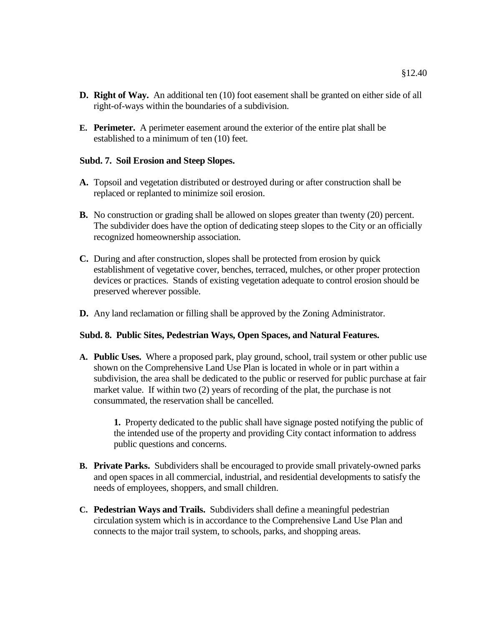- **D. Right of Way.** An additional ten (10) foot easement shall be granted on either side of all right-of-ways within the boundaries of a subdivision.
- **E. Perimeter.** A perimeter easement around the exterior of the entire plat shall be established to a minimum of ten (10) feet.

### **Subd. 7. Soil Erosion and Steep Slopes.**

- **A.** Topsoil and vegetation distributed or destroyed during or after construction shall be replaced or replanted to minimize soil erosion.
- **B.** No construction or grading shall be allowed on slopes greater than twenty (20) percent. The subdivider does have the option of dedicating steep slopes to the City or an officially recognized homeownership association.
- **C.** During and after construction, slopes shall be protected from erosion by quick establishment of vegetative cover, benches, terraced, mulches, or other proper protection devices or practices. Stands of existing vegetation adequate to control erosion should be preserved wherever possible.
- **D.** Any land reclamation or filling shall be approved by the Zoning Administrator.

# **Subd. 8. Public Sites, Pedestrian Ways, Open Spaces, and Natural Features.**

**A. Public Uses.** Where a proposed park, play ground, school, trail system or other public use shown on the Comprehensive Land Use Plan is located in whole or in part within a subdivision, the area shall be dedicated to the public or reserved for public purchase at fair market value. If within two (2) years of recording of the plat, the purchase is not consummated, the reservation shall be cancelled.

**1.** Property dedicated to the public shall have signage posted notifying the public of the intended use of the property and providing City contact information to address public questions and concerns.

- **B. Private Parks.** Subdividers shall be encouraged to provide small privately-owned parks and open spaces in all commercial, industrial, and residential developments to satisfy the needs of employees, shoppers, and small children.
- **C. Pedestrian Ways and Trails.** Subdividers shall define a meaningful pedestrian circulation system which is in accordance to the Comprehensive Land Use Plan and connects to the major trail system, to schools, parks, and shopping areas.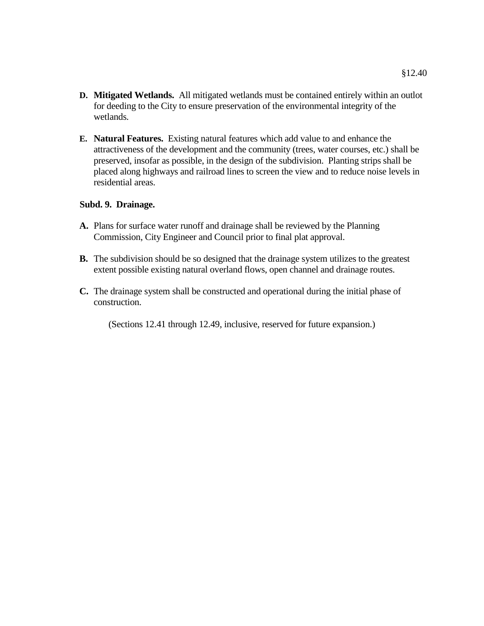- **D. Mitigated Wetlands.** All mitigated wetlands must be contained entirely within an outlot for deeding to the City to ensure preservation of the environmental integrity of the wetlands.
- **E. Natural Features.** Existing natural features which add value to and enhance the attractiveness of the development and the community (trees, water courses, etc.) shall be preserved, insofar as possible, in the design of the subdivision. Planting strips shall be placed along highways and railroad lines to screen the view and to reduce noise levels in residential areas.

### **Subd. 9. Drainage.**

- **A.** Plans for surface water runoff and drainage shall be reviewed by the Planning Commission, City Engineer and Council prior to final plat approval.
- **B.** The subdivision should be so designed that the drainage system utilizes to the greatest extent possible existing natural overland flows, open channel and drainage routes.
- **C.** The drainage system shall be constructed and operational during the initial phase of construction.

(Sections 12.41 through 12.49, inclusive, reserved for future expansion.)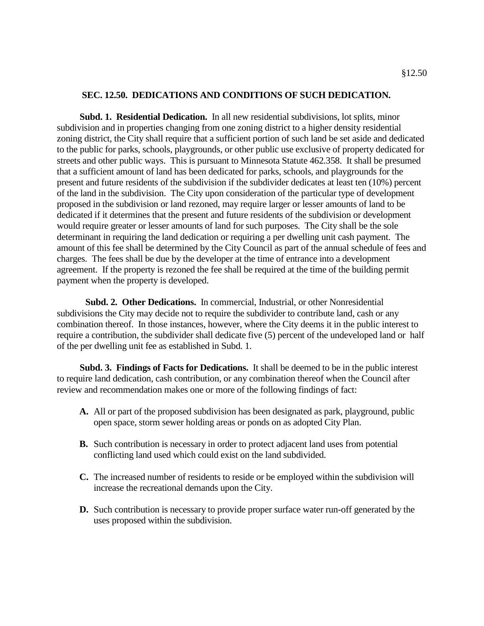#### **SEC. 12.50. DEDICATIONS AND CONDITIONS OF SUCH DEDICATION.**

**Subd. 1. Residential Dedication.** In all new residential subdivisions, lot splits, minor subdivision and in properties changing from one zoning district to a higher density residential zoning district, the City shall require that a sufficient portion of such land be set aside and dedicated to the public for parks, schools, playgrounds, or other public use exclusive of property dedicated for streets and other public ways. This is pursuant to Minnesota Statute 462.358. It shall be presumed that a sufficient amount of land has been dedicated for parks, schools, and playgrounds for the present and future residents of the subdivision if the subdivider dedicates at least ten (10%) percent of the land in the subdivision. The City upon consideration of the particular type of development proposed in the subdivision or land rezoned, may require larger or lesser amounts of land to be dedicated if it determines that the present and future residents of the subdivision or development would require greater or lesser amounts of land for such purposes. The City shall be the sole determinant in requiring the land dedication or requiring a per dwelling unit cash payment. The amount of this fee shall be determined by the City Council as part of the annual schedule of fees and charges. The fees shall be due by the developer at the time of entrance into a development agreement. If the property is rezoned the fee shall be required at the time of the building permit payment when the property is developed.

**Subd. 2. Other Dedications.** In commercial, Industrial, or other Nonresidential subdivisions the City may decide not to require the subdivider to contribute land, cash or any combination thereof. In those instances, however, where the City deems it in the public interest to require a contribution, the subdivider shall dedicate five (5) percent of the undeveloped land or half of the per dwelling unit fee as established in Subd. 1.

**Subd. 3. Findings of Facts for Dedications.** It shall be deemed to be in the public interest to require land dedication, cash contribution, or any combination thereof when the Council after review and recommendation makes one or more of the following findings of fact:

- **A.** All or part of the proposed subdivision has been designated as park, playground, public open space, storm sewer holding areas or ponds on as adopted City Plan.
- **B.** Such contribution is necessary in order to protect adjacent land uses from potential conflicting land used which could exist on the land subdivided.
- **C.** The increased number of residents to reside or be employed within the subdivision will increase the recreational demands upon the City.
- **D.** Such contribution is necessary to provide proper surface water run-off generated by the uses proposed within the subdivision.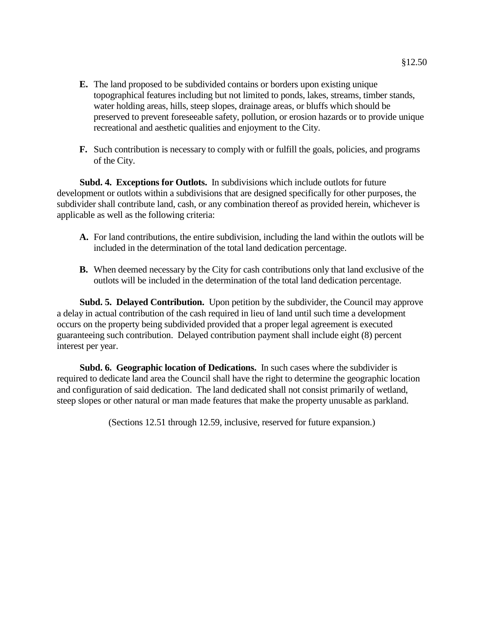- **E.** The land proposed to be subdivided contains or borders upon existing unique topographical features including but not limited to ponds, lakes, streams, timber stands, water holding areas, hills, steep slopes, drainage areas, or bluffs which should be preserved to prevent foreseeable safety, pollution, or erosion hazards or to provide unique recreational and aesthetic qualities and enjoyment to the City.
- **F.** Such contribution is necessary to comply with or fulfill the goals, policies, and programs of the City.

**Subd. 4. Exceptions for Outlots.** In subdivisions which include outlots for future development or outlots within a subdivisions that are designed specifically for other purposes, the subdivider shall contribute land, cash, or any combination thereof as provided herein, whichever is applicable as well as the following criteria:

- **A.** For land contributions, the entire subdivision, including the land within the outlots will be included in the determination of the total land dedication percentage.
- **B.** When deemed necessary by the City for cash contributions only that land exclusive of the outlots will be included in the determination of the total land dedication percentage.

**Subd. 5. Delayed Contribution.** Upon petition by the subdivider, the Council may approve a delay in actual contribution of the cash required in lieu of land until such time a development occurs on the property being subdivided provided that a proper legal agreement is executed guaranteeing such contribution. Delayed contribution payment shall include eight (8) percent interest per year.

**Subd. 6. Geographic location of Dedications.** In such cases where the subdivider is required to dedicate land area the Council shall have the right to determine the geographic location and configuration of said dedication. The land dedicated shall not consist primarily of wetland, steep slopes or other natural or man made features that make the property unusable as parkland.

(Sections 12.51 through 12.59, inclusive, reserved for future expansion.)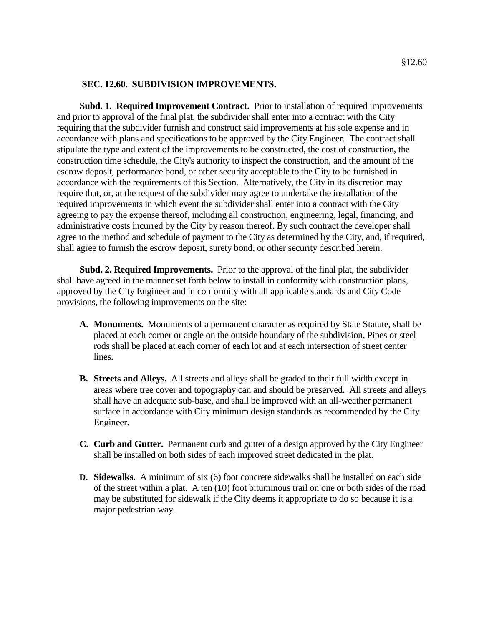#### **SEC. 12.60. SUBDIVISION IMPROVEMENTS.**

**Subd. 1. Required Improvement Contract.** Prior to installation of required improvements and prior to approval of the final plat, the subdivider shall enter into a contract with the City requiring that the subdivider furnish and construct said improvements at his sole expense and in accordance with plans and specifications to be approved by the City Engineer. The contract shall stipulate the type and extent of the improvements to be constructed, the cost of construction, the construction time schedule, the City's authority to inspect the construction, and the amount of the escrow deposit, performance bond, or other security acceptable to the City to be furnished in accordance with the requirements of this Section. Alternatively, the City in its discretion may require that, or, at the request of the subdivider may agree to undertake the installation of the required improvements in which event the subdivider shall enter into a contract with the City agreeing to pay the expense thereof, including all construction, engineering, legal, financing, and administrative costs incurred by the City by reason thereof. By such contract the developer shall agree to the method and schedule of payment to the City as determined by the City, and, if required, shall agree to furnish the escrow deposit, surety bond, or other security described herein.

**Subd. 2. Required Improvements.** Prior to the approval of the final plat, the subdivider shall have agreed in the manner set forth below to install in conformity with construction plans, approved by the City Engineer and in conformity with all applicable standards and City Code provisions, the following improvements on the site:

- **A. Monuments.** Monuments of a permanent character as required by State Statute, shall be placed at each corner or angle on the outside boundary of the subdivision, Pipes or steel rods shall be placed at each corner of each lot and at each intersection of street center lines.
- **B. Streets and Alleys.** All streets and alleys shall be graded to their full width except in areas where tree cover and topography can and should be preserved. All streets and alleys shall have an adequate sub-base, and shall be improved with an all-weather permanent surface in accordance with City minimum design standards as recommended by the City Engineer.
- **C. Curb and Gutter.** Permanent curb and gutter of a design approved by the City Engineer shall be installed on both sides of each improved street dedicated in the plat.
- **D. Sidewalks.** A minimum of six (6) foot concrete sidewalks shall be installed on each side of the street within a plat. A ten (10) foot bituminous trail on one or both sides of the road may be substituted for sidewalk if the City deems it appropriate to do so because it is a major pedestrian way.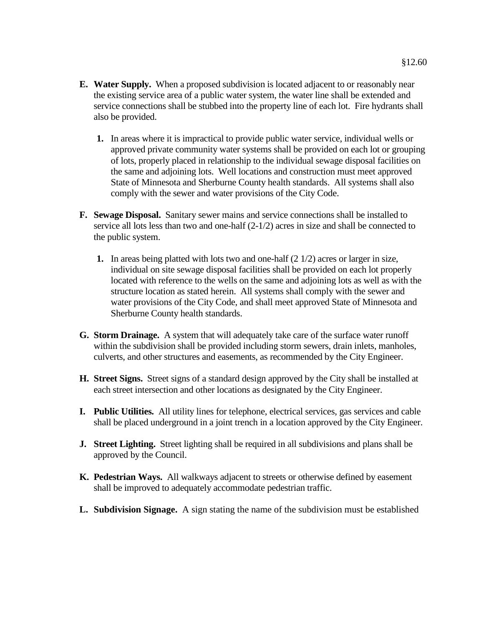- §12.60
- **E. Water Supply.** When a proposed subdivision is located adjacent to or reasonably near the existing service area of a public water system, the water line shall be extended and service connections shall be stubbed into the property line of each lot. Fire hydrants shall also be provided.
	- **1.** In areas where it is impractical to provide public water service, individual wells or approved private community water systems shall be provided on each lot or grouping of lots, properly placed in relationship to the individual sewage disposal facilities on the same and adjoining lots. Well locations and construction must meet approved State of Minnesota and Sherburne County health standards. All systems shall also comply with the sewer and water provisions of the City Code.
- **F. Sewage Disposal.** Sanitary sewer mains and service connections shall be installed to service all lots less than two and one-half (2-1/2) acres in size and shall be connected to the public system.
	- **1.** In areas being platted with lots two and one-half (2 1/2) acres or larger in size, individual on site sewage disposal facilities shall be provided on each lot properly located with reference to the wells on the same and adjoining lots as well as with the structure location as stated herein. All systems shall comply with the sewer and water provisions of the City Code, and shall meet approved State of Minnesota and Sherburne County health standards.
- **G. Storm Drainage.** A system that will adequately take care of the surface water runoff within the subdivision shall be provided including storm sewers, drain inlets, manholes, culverts, and other structures and easements, as recommended by the City Engineer.
- **H. Street Signs.** Street signs of a standard design approved by the City shall be installed at each street intersection and other locations as designated by the City Engineer.
- **I. Public Utilities.** All utility lines for telephone, electrical services, gas services and cable shall be placed underground in a joint trench in a location approved by the City Engineer.
- **J. Street Lighting.** Street lighting shall be required in all subdivisions and plans shall be approved by the Council.
- **K. Pedestrian Ways.** All walkways adjacent to streets or otherwise defined by easement shall be improved to adequately accommodate pedestrian traffic.
- **L. Subdivision Signage.** A sign stating the name of the subdivision must be established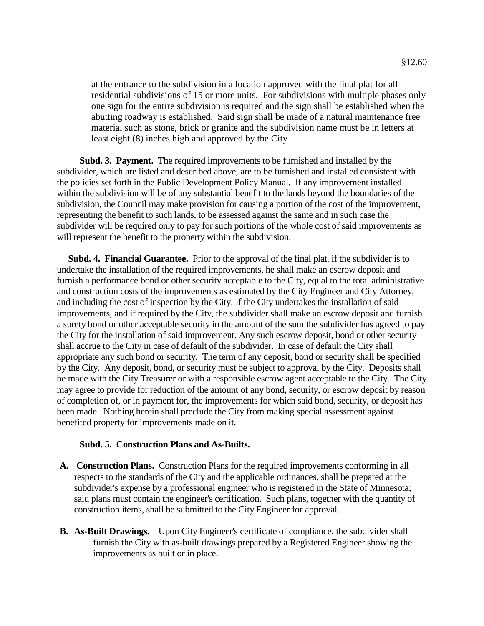at the entrance to the subdivision in a location approved with the final plat for all residential subdivisions of 15 or more units. For subdivisions with multiple phases only one sign for the entire subdivision is required and the sign shall be established when the abutting roadway is established. Said sign shall be made of a natural maintenance free material such as stone, brick or granite and the subdivision name must be in letters at least eight (8) inches high and approved by the City*.* 

**Subd. 3. Payment.** The required improvements to be furnished and installed by the subdivider, which are listed and described above, are to be furnished and installed consistent with the policies set forth in the Public Development Policy Manual. If any improvement installed within the subdivision will be of any substantial benefit to the lands beyond the boundaries of the subdivision, the Council may make provision for causing a portion of the cost of the improvement, representing the benefit to such lands, to be assessed against the same and in such case the subdivider will be required only to pay for such portions of the whole cost of said improvements as will represent the benefit to the property within the subdivision.

 **Subd. 4. Financial Guarantee.** Prior to the approval of the final plat, if the subdivider is to undertake the installation of the required improvements, he shall make an escrow deposit and furnish a performance bond or other security acceptable to the City, equal to the total administrative and construction costs of the improvements as estimated by the City Engineer and City Attorney, and including the cost of inspection by the City. If the City undertakes the installation of said improvements, and if required by the City, the subdivider shall make an escrow deposit and furnish a surety bond or other acceptable security in the amount of the sum the subdivider has agreed to pay the City for the installation of said improvement. Any such escrow deposit, bond or other security shall accrue to the City in case of default of the subdivider. In case of default the City shall appropriate any such bond or security. The term of any deposit, bond or security shall be specified by the City. Any deposit, bond, or security must be subject to approval by the City. Deposits shall be made with the City Treasurer or with a responsible escrow agent acceptable to the City. The City may agree to provide for reduction of the amount of any bond, security, or escrow deposit by reason of completion of, or in payment for, the improvements for which said bond, security, or deposit has been made. Nothing herein shall preclude the City from making special assessment against benefited property for improvements made on it.

#### **Subd. 5. Construction Plans and As-Builts.**

- **A. Construction Plans.** Construction Plans for the required improvements conforming in all respects to the standards of the City and the applicable ordinances, shall be prepared at the subdivider's expense by a professional engineer who is registered in the State of Minnesota; said plans must contain the engineer's certification. Such plans, together with the quantity of construction items, shall be submitted to the City Engineer for approval.
- **B. As-Built Drawings.** Upon City Engineer's certificate of compliance, the subdivider shall furnish the City with as-built drawings prepared by a Registered Engineer showing the improvements as built or in place.